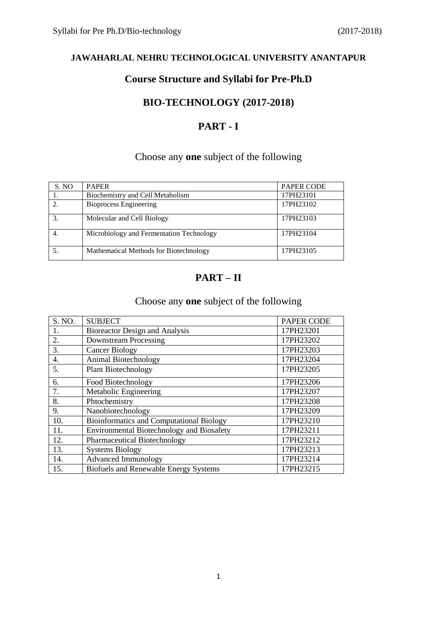# **Course Structure and Syllabi for Pre-Ph.D**

# **BIO-TECHNOLOGY (2017-2018)**

# **PART - I**

# Choose any **one** subject of the following

| S. NO | <b>PAPER</b>                             | <b>PAPER CODE</b> |
|-------|------------------------------------------|-------------------|
|       | Biochemistry and Cell Metabolism         | 17PH23101         |
|       | <b>Bioprocess Engineering</b>            | 17PH23102         |
|       | Molecular and Cell Biology               | 17PH23103         |
|       | Microbiology and Fermentation Technology | 17PH23104         |
|       | Mathematical Methods for Biotechnology   | 17PH23105         |

# **PART – II**

## Choose any **one** subject of the following

| S. NO. | <b>SUBJECT</b>                                  | <b>PAPER CODE</b> |
|--------|-------------------------------------------------|-------------------|
|        | Bioreactor Design and Analysis                  | 17PH23201         |
| 2.     | <b>Downstream Processing</b>                    | 17PH23202         |
| 3.     | <b>Cancer Biology</b>                           | 17PH23203         |
| 4.     | Animal Biotechnology                            | 17PH23204         |
| 5.     | <b>Plant Biotechnology</b>                      | 17PH23205         |
| 6.     | Food Biotechnology                              | 17PH23206         |
| 7.     | Metabolic Engineering                           | 17PH23207         |
| 8.     | Phtochemistry                                   | 17PH23208         |
| 9.     | Nanobiotechnology                               | 17PH23209         |
| 10.    | <b>Bioinformatics and Computational Biology</b> | 17PH23210         |
| 11.    | Environmental Biotechnology and Biosafety       | 17PH23211         |
| 12.    | Pharmaceutical Biotechnology                    | 17PH23212         |
| 13.    | <b>Systems Biology</b>                          | 17PH23213         |
| 14.    | <b>Advanced Immunology</b>                      | 17PH23214         |
| 15.    | <b>Biofuels and Renewable Energy Systems</b>    | 17PH23215         |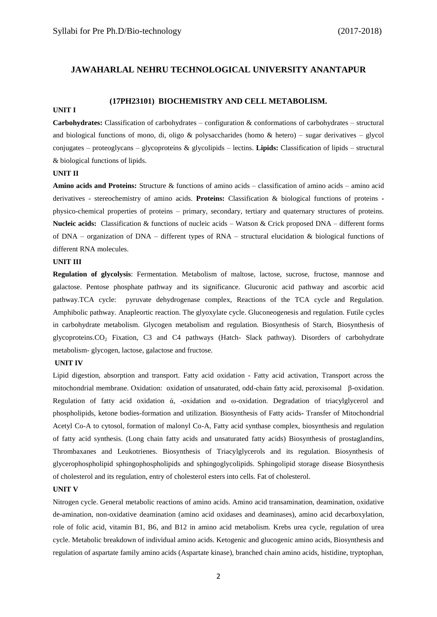#### **(17PH23101) BIOCHEMISTRY AND CELL METABOLISM.**

#### **UNIT I**

**Carbohydrates:** Classification of carbohydrates – configuration & conformations of carbohydrates – structural and biological functions of mono, di, oligo & polysaccharides (homo & hetero) – sugar derivatives – glycol conjugates – proteoglycans – glycoproteins & glycolipids – lectins. **Lipids:** Classification of lipids – structural & biological functions of lipids.

#### **UNIT II**

**Amino acids and Proteins:** Structure & functions of amino acids – classification of amino acids – amino acid derivatives - stereochemistry of amino acids. **Proteins:** Classification & biological functions of proteins  physico-chemical properties of proteins – primary, secondary, tertiary and quaternary structures of proteins. **Nucleic acids:** Classification & functions of nucleic acids – Watson & Crick proposed DNA – different forms of DNA – organization of DNA – different types of RNA – structural elucidation & biological functions of different RNA molecules.

#### **UNIT III**

**Regulation of glycolysis**: Fermentation. Metabolism of maltose, lactose, sucrose, fructose, mannose and galactose. Pentose phosphate pathway and its significance. Glucuronic acid pathway and ascorbic acid pathway.TCA cycle: pyruvate dehydrogenase complex, Reactions of the TCA cycle and Regulation. Amphibolic pathway. Anapleortic reaction. The glyoxylate cycle. Gluconeogenesis and regulation. Futile cycles in carbohydrate metabolism. Glycogen metabolism and regulation. Biosynthesis of Starch, Biosynthesis of glycoproteins.CO<sup>2</sup> Fixation, C3 and C4 pathways (Hatch- Slack pathway). Disorders of carbohydrate metabolism- glycogen, lactose, galactose and fructose.

#### **UNIT IV**

Lipid digestion, absorption and transport. Fatty acid oxidation - Fatty acid activation, Transport across the mitochondrial membrane. Oxidation: oxidation of unsaturated, odd-chain fatty acid, peroxisomal β-oxidation. Regulation of fatty acid oxidation  $\alpha$ , -oxidation and ω-oxidation. Degradation of triacylglycerol and phospholipids, ketone bodies-formation and utilization. Biosynthesis of Fatty acids**-** Transfer of Mitochondrial Acetyl Co-A to cytosol, formation of malonyl Co-A, Fatty acid synthase complex, biosynthesis and regulation of fatty acid synthesis. (Long chain fatty acids and unsaturated fatty acids) Biosynthesis of prostaglandins, Thrombaxanes and Leukotrienes. Biosynthesis of Triacylglycerols and its regulation. Biosynthesis of glycerophospholipid sphingophospholipids and sphingoglycolipids. Sphingolipid storage disease Biosynthesis of cholesterol and its regulation, entry of cholesterol esters into cells. Fat of cholesterol.

#### **UNIT V**

Nitrogen cycle. General metabolic reactions of amino acids. Amino acid transamination, deamination, oxidative de-amination, non-oxidative deamination (amino acid oxidases and deaminases), amino acid decarboxylation, role of folic acid, vitamin B1, B6, and B12 in amino acid metabolism. Krebs urea cycle, regulation of urea cycle. Metabolic breakdown of individual amino acids. Ketogenic and glucogenic amino acids, Biosynthesis and regulation of aspartate family amino acids (Aspartate kinase), branched chain amino acids, histidine, tryptophan,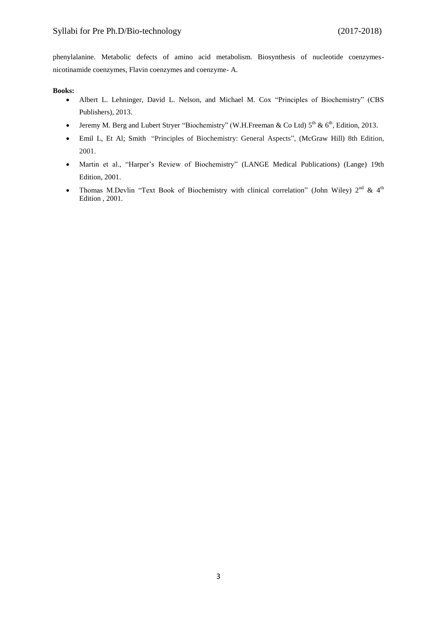phenylalanine. Metabolic defects of amino acid metabolism. Biosynthesis of nucleotide coenzymesnicotinamide coenzymes, Flavin coenzymes and coenzyme- A.

#### **Books:**

- Albert L. Lehninger, David L. Nelson, and Michael M. Cox "Principles of Biochemistry" (CBS Publishers), 2013.
- Jeremy M. Berg and Lubert Stryer "Biochemistry" (W.H.Freeman & Co Ltd)  $5^{th}$  &  $6^{th}$ , Edition, 2013.
- [Emil L, Et Al; Smith](https://www.amazon.com/s/ref=dp_byline_sr_book_1?ie=UTF8&text=Emil+L%2C+Et+Al%3B+Smith&search-alias=books&field-author=Emil+L%2C+Et+Al%3B+Smith&sort=relevancerank) "Principles of Biochemistry: General Aspects", (McGraw Hill) 8th Edition, 2001.
- Martin et al., "Harper's Review of Biochemistry" (LANGE Medical Publications) (Lange) 19th Edition, 2001.
- Thomas M.Devlin "Text Book of Biochemistry with clinical correlation" (John Wiley)  $2^{nd}$  & 4<sup>th</sup> Edition , 2001.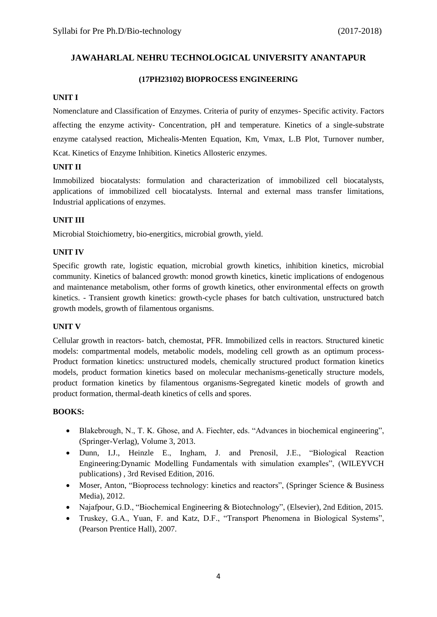### **(17PH23102) BIOPROCESS ENGINEERING**

#### **UNIT I**

Nomenclature and Classification of Enzymes. Criteria of purity of enzymes- Specific activity. Factors affecting the enzyme activity- Concentration, pH and temperature. Kinetics of a single-substrate enzyme catalysed reaction, Michealis-Menten Equation, Km, Vmax, L.B Plot, Turnover number, Kcat. Kinetics of Enzyme Inhibition. Kinetics Allosteric enzymes.

### **UNIT II**

Immobilized biocatalysts: formulation and characterization of immobilized cell biocatalysts, applications of immobilized cell biocatalysts. Internal and external mass transfer limitations, Industrial applications of enzymes.

### **UNIT III**

Microbial Stoichiometry, bio-energitics, microbial growth, yield.

### **UNIT IV**

Specific growth rate, logistic equation, microbial growth kinetics, inhibition kinetics, microbial community. Kinetics of balanced growth: monod growth kinetics, kinetic implications of endogenous and maintenance metabolism, other forms of growth kinetics, other environmental effects on growth kinetics. - Transient growth kinetics: growth-cycle phases for batch cultivation, unstructured batch growth models, growth of filamentous organisms.

### **UNIT V**

Cellular growth in reactors- batch, chemostat, PFR. Immobilized cells in reactors. Structured kinetic models: compartmental models, metabolic models, modeling cell growth as an optimum process-Product formation kinetics: unstructured models, chemically structured product formation kinetics models, product formation kinetics based on molecular mechanisms-genetically structure models, product formation kinetics by filamentous organisms-Segregated kinetic models of growth and product formation, thermal-death kinetics of cells and spores.

- Blakebrough, N., T. K. Ghose, and A. Fiechter, eds. "Advances in biochemical engineering", (Springer-Verlag), Volume 3, 2013.
- Dunn, I.J., Heinzle E., Ingham, J. and Prenosil, J.E., "Biological Reaction Engineering:Dynamic Modelling Fundamentals with simulation examples", (WILEYVCH publications) , 3rd Revised Edition, 2016.
- Moser, Anton, "Bioprocess technology: kinetics and reactors", (Springer Science & Business Media), 2012.
- Najafpour, G.D., "Biochemical Engineering & Biotechnology", (Elsevier), 2nd Edition, 2015.
- Truskey, G.A., Yuan, F. and Katz, D.F., "Transport Phenomena in Biological Systems", (Pearson Prentice Hall), 2007.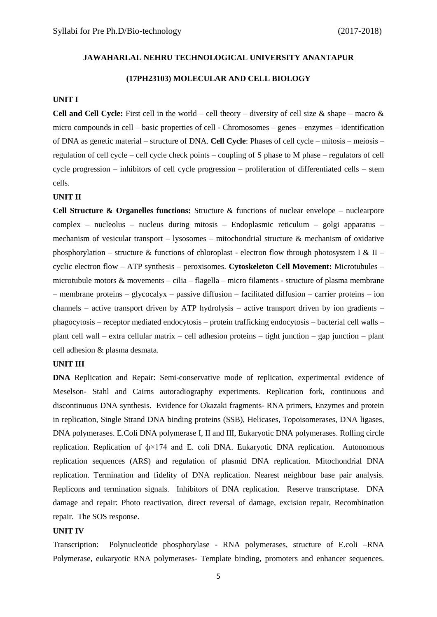#### **(17PH23103) MOLECULAR AND CELL BIOLOGY**

#### **UNIT I**

**Cell and Cell Cycle:** First cell in the world – cell theory – diversity of cell size  $\&$  shape – macro  $\&$ micro compounds in cell – basic properties of cell - Chromosomes – genes – enzymes – identification of DNA as genetic material – structure of DNA. **Cell Cycle**: Phases of cell cycle – mitosis – meiosis – regulation of cell cycle – cell cycle check points – coupling of S phase to M phase – regulators of cell cycle progression – inhibitors of cell cycle progression – proliferation of differentiated cells – stem cells.

#### **UNIT II**

**Cell Structure & Organelles functions:** Structure & functions of nuclear envelope – nuclearpore complex – nucleolus – nucleus during mitosis – Endoplasmic reticulum – golgi apparatus – mechanism of vesicular transport – lysosomes – mitochondrial structure & mechanism of oxidative phosphorylation – structure & functions of chloroplast - electron flow through photosystem I & II – cyclic electron flow – ATP synthesis – peroxisomes. **Cytoskeleton Cell Movement:** Microtubules – microtubule motors & movements – cilia – flagella – micro filaments - structure of plasma membrane – membrane proteins – glycocalyx – passive diffusion – facilitated diffusion – carrier proteins – ion channels – active transport driven by ATP hydrolysis – active transport driven by ion gradients – phagocytosis – receptor mediated endocytosis – protein trafficking endocytosis – bacterial cell walls – plant cell wall – extra cellular matrix – cell adhesion proteins – tight junction – gap junction – plant cell adhesion & plasma desmata.

#### **UNIT III**

**DNA** Replication and Repair: Semi-conservative mode of replication, experimental evidence of Meselson- Stahl and Cairns autoradiography experiments. Replication fork, continuous and discontinuous DNA synthesis. Evidence for Okazaki fragments- RNA primers, Enzymes and protein in replication, Single Strand DNA binding proteins (SSB), Helicases, Topoisomerases, DNA ligases, DNA polymerases. E.Coli DNA polymerase I, II and III, Eukaryotic DNA polymerases. Rolling circle replication. Replication of  $\phi \times 174$  and E. coli DNA. Eukaryotic DNA replication. Autonomous replication sequences (ARS) and regulation of plasmid DNA replication. Mitochondrial DNA replication. Termination and fidelity of DNA replication. Nearest neighbour base pair analysis. Replicons and termination signals. Inhibitors of DNA replication. Reserve transcriptase. DNA damage and repair: Photo reactivation, direct reversal of damage, excision repair, Recombination repair. The SOS response.

#### **UNIT IV**

Transcription: Polynucleotide phosphorylase - RNA polymerases, structure of E.coli –RNA Polymerase, eukaryotic RNA polymerases- Template binding, promoters and enhancer sequences.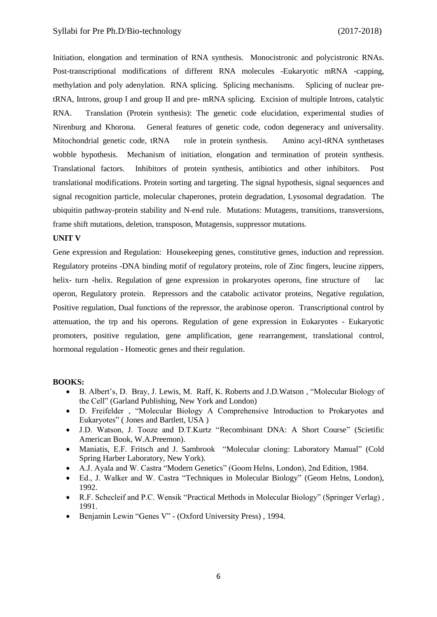Initiation, elongation and termination of RNA synthesis. Monocistronic and polycistronic RNAs. Post-transcriptional modifications of different RNA molecules -Eukaryotic mRNA -capping, methylation and poly adenylation. RNA splicing. Splicing mechanisms. Splicing of nuclear pretRNA, Introns, group I and group II and pre- mRNA splicing. Excision of multiple Introns, catalytic RNA. Translation (Protein synthesis): The genetic code elucidation, experimental studies of Nirenburg and Khorona. General features of genetic code, codon degeneracy and universality. Mitochondrial genetic code, tRNA role in protein synthesis. Amino acyl-tRNA synthetases wobble hypothesis. Mechanism of initiation, elongation and termination of protein synthesis. Translational factors. Inhibitors of protein synthesis, antibiotics and other inhibitors. Post translational modifications. Protein sorting and targeting. The signal hypothesis, signal sequences and signal recognition particle, molecular chaperones, protein degradation, Lysosomal degradation. The ubiquitin pathway-protein stability and N-end rule. Mutations: Mutagens, transitions, transversions, frame shift mutations, deletion, transposon, Mutagensis, suppressor mutations.

#### **UNIT V**

Gene expression and Regulation: Housekeeping genes, constitutive genes, induction and repression. Regulatory proteins -DNA binding motif of regulatory proteins, role of Zinc fingers, leucine zippers, helix- turn -helix. Regulation of gene expression in prokaryotes operons, fine structure of lac operon, Regulatory protein. Repressors and the catabolic activator proteins, Negative regulation, Positive regulation, Dual functions of the repressor, the arabinose operon. Transcriptional control by attenuation, the trp and his operons. Regulation of gene expression in Eukaryotes - Eukaryotic promoters, positive regulation, gene amplification, gene rearrangement, translational control, hormonal regulation - Homeotic genes and their regulation.

- B. Albert's, D. Bray, J. Lewis, M. Raff, K. Roberts and J.D.Watson , "Molecular Biology of the Cell" (Garland Publishing, New York and London)
- D. Freifelder , "Molecular Biology A Comprehensive Introduction to Prokaryotes and Eukaryotes" ( Jones and Bartlett, USA )
- J.D. Watson, J. Tooze and D.T.Kurtz "Recombinant DNA: A Short Course" (Scietific American Book, W.A.Preemon).
- Maniatis, E.F. Fritsch and J. Sambrook "Molecular cloning: Laboratory Manual" (Cold Spring Harber Laboratory, New York).
- A.J. Ayala and W. Castra "Modern Genetics" (Goom Helns, London), 2nd Edition, 1984.
- Ed., J. Walker and W. Castra "Techniques in Molecular Biology" (Geom Helns, London), 1992.
- R.F. Schecleif and P.C. Wensik "Practical Methods in Molecular Biology" (Springer Verlag) , 1991.
- Benjamin Lewin "Genes V" (Oxford University Press) , 1994.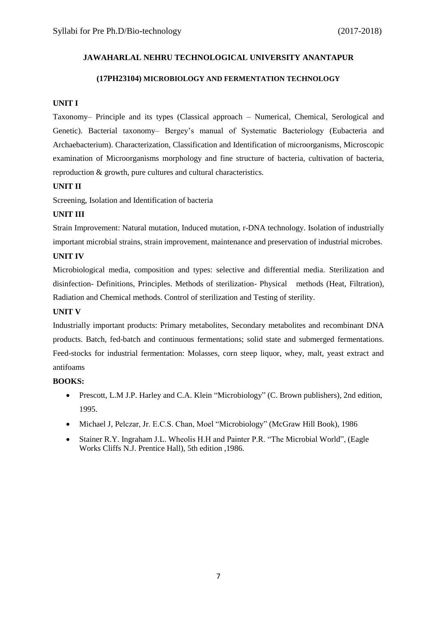#### **(17PH23104) MICROBIOLOGY AND FERMENTATION TECHNOLOGY**

### **UNIT I**

Taxonomy– Principle and its types (Classical approach – Numerical, Chemical, Serological and Genetic). Bacterial taxonomy– Bergey's manual of Systematic Bacteriology (Eubacteria and Archaebacterium). Characterization, Classification and Identification of microorganisms, Microscopic examination of Microorganisms morphology and fine structure of bacteria, cultivation of bacteria, reproduction & growth, pure cultures and cultural characteristics.

### **UNIT II**

Screening, Isolation and Identification of bacteria

### **UNIT III**

Strain Improvement: Natural mutation, Induced mutation, r-DNA technology. Isolation of industrially important microbial strains, strain improvement, maintenance and preservation of industrial microbes.

### **UNIT IV**

Microbiological media, composition and types: selective and differential media. Sterilization and disinfection- Definitions, Principles. Methods of sterilization- Physical methods (Heat, Filtration), Radiation and Chemical methods. Control of sterilization and Testing of sterility.

#### **UNIT V**

Industrially important products: Primary metabolites, Secondary metabolites and recombinant DNA products. Batch, fed-batch and continuous fermentations; solid state and submerged fermentations. Feed-stocks for industrial fermentation: Molasses, corn steep liquor, whey, malt, yeast extract and antifoams

- Prescott, L.M J.P. Harley and C.A. Klein "Microbiology" (C. Brown publishers), 2nd edition, 1995.
- Michael J, Pelczar, Jr. E.C.S. Chan, Moel "Microbiology" (McGraw Hill Book), 1986
- Stainer R.Y. Ingraham J.L. Wheolis H.H and Painter P.R. "The Microbial World", (Eagle Works Cliffs N.J. Prentice Hall), 5th edition ,1986.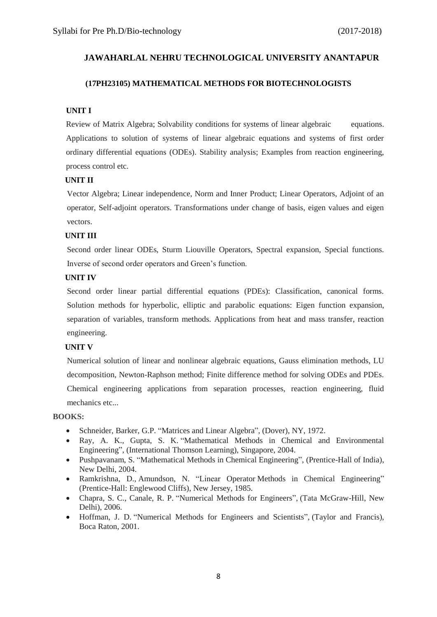#### **(17PH23105) MATHEMATICAL METHODS FOR BIOTECHNOLOGISTS**

#### **UNIT I**

Review of Matrix Algebra; Solvability conditions for systems of linear algebraic equations. Applications to solution of systems of linear algebraic equations and systems of first order ordinary differential equations (ODEs). Stability analysis; Examples from reaction engineering, process control etc.

#### **UNIT II**

Vector Algebra; Linear independence, Norm and Inner Product; Linear Operators, Adjoint of an operator, Self-adjoint operators. Transformations under change of basis, eigen values and eigen vectors.

#### **UNIT III**

Second order linear ODEs, Sturm Liouville Operators, Spectral expansion, Special functions. Inverse of second order operators and Green's function.

#### **UNIT IV**

Second order linear partial differential equations (PDEs): Classification, canonical forms. Solution methods for hyperbolic, elliptic and parabolic equations: Eigen function expansion, separation of variables, transform methods. Applications from heat and mass transfer, reaction engineering.

#### **UNIT V**

Numerical solution of linear and nonlinear algebraic equations, Gauss elimination methods, LU decomposition, Newton-Raphson method; Finite difference method for solving ODEs and PDEs. Chemical engineering applications from separation processes, reaction engineering, fluid mechanics etc...

- Schneider, Barker, G.P. "Matrices and Linear Algebra", (Dover), NY, 1972.
- Ray, A. K., Gupta, S. K. "Mathematical Methods in Chemical and Environmental Engineering", (International Thomson Learning), Singapore, 2004.
- Pushpavanam, S. "Mathematical Methods in Chemical Engineering", (Prentice-Hall of India), New Delhi, 2004.
- Ramkrishna, D., Amundson, N. "Linear Operator Methods in Chemical Engineering" (Prentice-Hall: Englewood Cliffs), New Jersey, 1985.
- Chapra, S. C., Canale, R. P. "Numerical Methods for Engineers", (Tata McGraw-Hill, New Delhi), 2006.
- Hoffman, J. D. "Numerical Methods for Engineers and Scientists", (Taylor and Francis), Boca Raton, 2001.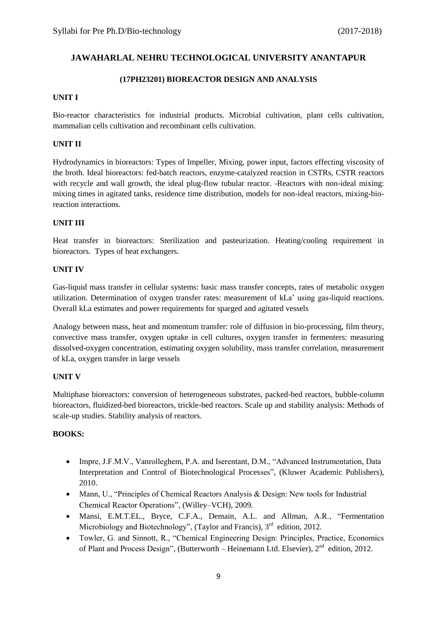#### **(17PH23201) BIOREACTOR DESIGN AND ANALYSIS**

#### **UNIT I**

Bio-reactor characteristics for industrial products. Microbial cultivation, plant cells cultivation, mammalian cells cultivation and recombinant cells cultivation.

#### **UNIT II**

Hydrodynamics in bioreactors: Types of Impeller, Mixing, power input, factors effecting viscosity of the broth. Ideal bioreactors: fed-batch reactors, enzyme-catalyzed reaction in CSTRs, CSTR reactors with recycle and wall growth, the ideal plug-flow tubular reactor. -Reactors with non-ideal mixing: mixing times in agitated tanks, residence time distribution, models for non-ideal reactors, mixing-bioreaction interactions.

#### **UNIT III**

Heat transfer in bioreactors: Sterilization and pasteurization. Heating/cooling requirement in bioreactors. Types of heat exchangers.

#### **UNIT IV**

Gas-liquid mass transfer in cellular systems: basic mass transfer concepts, rates of metabolic oxygen utilization. Determination of oxygen transfer rates: measurement of kLa' using gas-liquid reactions. Overall kLa estimates and power requirements for sparged and agitated vessels

Analogy between mass, heat and momentum transfer: role of diffusion in bio-processing, film theory, convective mass transfer, oxygen uptake in cell cultures, oxygen transfer in fermenters: measuring dissolved-oxygen concentration, estimating oxygen solubility, mass transfer correlation, measurement of kLa, oxygen transfer in large vessels

#### **UNIT V**

Multiphase bioreactors: conversion of heterogeneous substrates, packed-bed reactors, bubble-column bioreactors, fluidized-bed bioreactors, trickle-bed reactors. Scale up and stability analysis: Methods of scale-up studies. Stability analysis of reactors.

- Impre, J.F.M.V., Vanrolleghem, P.A. and Iserentant, D.M., "Advanced Instrumentation, Data Interpretation and Control of Biotechnological Processes", (Kluwer Academic Publishers), 2010.
- Mann, U., "Principles of Chemical Reactors Analysis & Design: New tools for Industrial Chemical Reactor Operations", (Willey–VCH), 2009.
- Mansi, E.M.T.EL., Bryce, C.F.A., Demain, A.L. and Allman, A.R., "Fermentation Microbiology and Biotechnology", (Taylor and Francis), 3<sup>rd</sup> edition, 2012.
- Towler, G. and Sinnott, R., "Chemical Engineering Design: Principles, Practice, Economics of Plant and Process Design", (Butterworth – Heinemann Ltd. Elsevier), 2<sup>nd</sup> edition, 2012.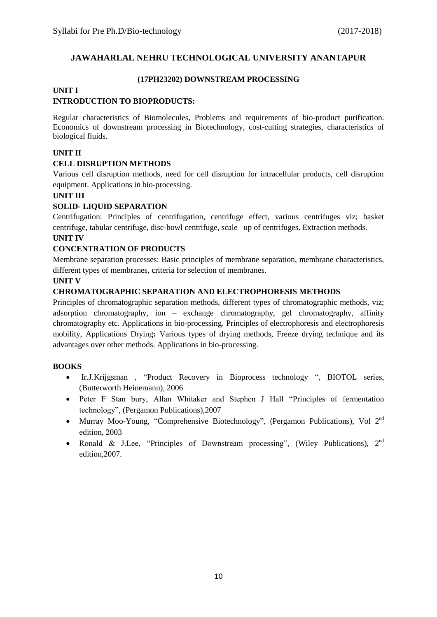#### **(17PH23202) DOWNSTREAM PROCESSING**

### **UNIT I**

### **INTRODUCTION TO BIOPRODUCTS:**

Regular characteristics of Biomolecules, Problems and requirements of bio-product purification. Economics of downstream processing in Biotechnology, cost-cutting strategies, characteristics of biological fluids.

### **UNIT II**

#### **CELL DISRUPTION METHODS**

Various cell disruption methods, need for cell disruption for intracellular products, cell disruption equipment. Applications in bio-processing.

#### **UNIT III**

#### **SOLID- LIQUID SEPARATION**

Centrifugation: Principles of centrifugation, centrifuge effect, various centrifuges viz; basket centrifuge, tabular centrifuge, disc-bowl centrifuge, scale –up of centrifuges. Extraction methods.

### **UNIT IV**

#### **CONCENTRATION OF PRODUCTS**

Membrane separation processes: Basic principles of membrane separation, membrane characteristics, different types of membranes, criteria for selection of membranes.

#### **UNIT V**

#### **CHROMATOGRAPHIC SEPARATION AND ELECTROPHORESIS METHODS**

Principles of chromatographic separation methods, different types of chromatographic methods, viz; adsorption chromatography, ion – exchange chromatography, gel chromatography, affinity chromatography etc. Applications in bio-processing. Principles of electrophoresis and electrophoresis mobility, Applications Drying**:** Various types of drying methods, Freeze drying technique and its advantages over other methods. Applications in bio-processing.

- Ir.J.Krijgsman , "Product Recovery in Bioprocess technology ", BIOTOL series, (Butterworth Heinemann), 2006
- Peter F Stan bury, Allan Whitaker and Stephen J Hall "Principles of fermentation technology", (Pergamon Publications),2007
- Murray Moo-Young, "Comprehensive Biotechnology", (Pergamon Publications), Vol  $2^{nd}$ edition, 2003
- Ronald & J.Lee, "Principles of Downstream processing", (Wiley Publications),  $2^{nd}$ edition,2007.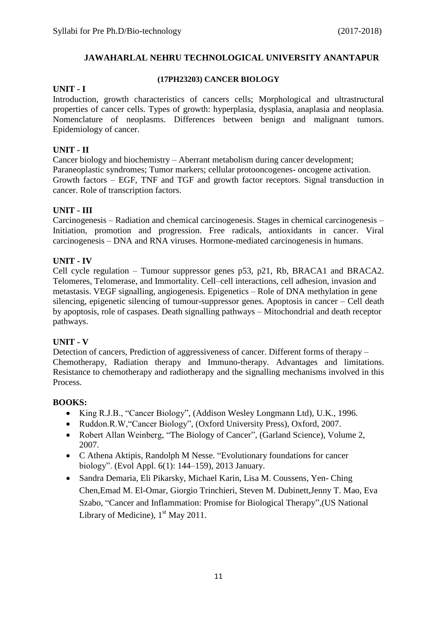### **UNIT - I**

### **(17PH23203) CANCER BIOLOGY**

Introduction, growth characteristics of cancers cells; Morphological and ultrastructural properties of cancer cells. Types of growth: hyperplasia, dysplasia, anaplasia and neoplasia. Nomenclature of neoplasms. Differences between benign and malignant tumors. Epidemiology of cancer.

### **UNIT - II**

Cancer biology and biochemistry – Aberrant metabolism during cancer development; Paraneoplastic syndromes; Tumor markers; cellular protooncogenes- oncogene activation. Growth factors – EGF, TNF and TGF and growth factor receptors. Signal transduction in cancer. Role of transcription factors.

### **UNIT - III**

Carcinogenesis – Radiation and chemical carcinogenesis. Stages in chemical carcinogenesis – Initiation, promotion and progression. Free radicals, antioxidants in cancer. Viral carcinogenesis – DNA and RNA viruses. Hormone-mediated carcinogenesis in humans.

### **UNIT - IV**

Cell cycle regulation – Tumour suppressor genes p53, p21, Rb, BRACA1 and BRACA2. Telomeres, Telomerase, and Immortality. Cell–cell interactions, cell adhesion, invasion and metastasis. VEGF signalling, angiogenesis. Epigenetics – Role of DNA methylation in gene silencing, epigenetic silencing of tumour-suppressor genes. Apoptosis in cancer – Cell death by apoptosis, role of caspases. Death signalling pathways – Mitochondrial and death receptor pathways.

### **UNIT - V**

Detection of cancers, Prediction of aggressiveness of cancer. Different forms of therapy – Chemotherapy, Radiation therapy and Immuno-therapy. Advantages and limitations. Resistance to chemotherapy and radiotherapy and the signalling mechanisms involved in this Process.

- King R.J.B., "Cancer Biology", (Addison Wesley Longmann Ltd), U.K., 1996.
- Ruddon.R.W, "Cancer Biology", (Oxford University Press), Oxford, 2007.
- Robert Allan Weinberg, "The Biology of Cancer", (Garland Science), Volume 2, 2007.
- C Athena Aktipis, Randolph M Nesse. "Evolutionary foundations for cancer biology". (Evol Appl. 6(1): 144–159), 2013 January.
- Sandra Demaria, Eli Pikarsky, Michael Karin, Lisa M. Coussens, Yen- Ching Chen,Emad M. El-Omar, Giorgio Trinchieri, Steven M. Dubinett,Jenny T. Mao, Eva Szabo, "Cancer and Inflammation: Promise for Biological Therapy",[\(US National](https://www.nlm.nih.gov/)  [Library of Medicine\)](https://www.nlm.nih.gov/), 1<sup>st</sup> May 2011.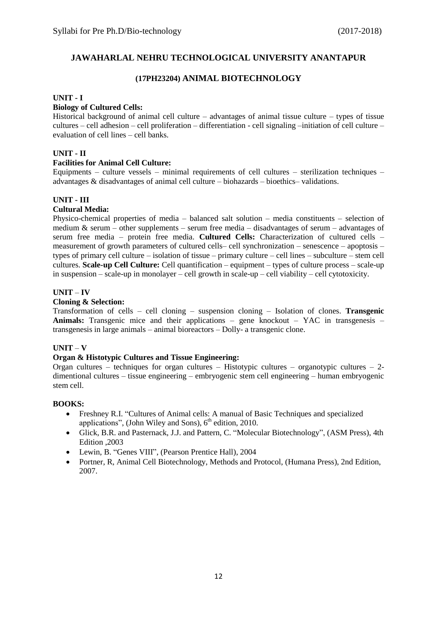### **(17PH23204) ANIMAL BIOTECHNOLOGY**

#### **UNIT - I**

#### **Biology of Cultured Cells:**

Historical background of animal cell culture – advantages of animal tissue culture – types of tissue cultures – cell adhesion – cell proliferation – differentiation - cell signaling –initiation of cell culture – evaluation of cell lines – cell banks.

#### **UNIT - II**

#### **Facilities for Animal Cell Culture:**

Equipments – culture vessels – minimal requirements of cell cultures – sterilization techniques – advantages & disadvantages of animal cell culture – biohazards – bioethics– validations.

#### **UNIT - III**

#### **Cultural Media:**

Physico-chemical properties of media – balanced salt solution – media constituents – selection of medium & serum – other supplements – serum free media – disadvantages of serum – advantages of serum free media – protein free media. **Cultured Cells:** Characterization of cultured cells – measurement of growth parameters of cultured cells– cell synchronization – senescence – apoptosis – types of primary cell culture – isolation of tissue – primary culture – cell lines – subculture – stem cell cultures. **Scale-up Cell Culture:** Cell quantification – equipment – types of culture process – scale-up in suspension – scale-up in monolayer – cell growth in scale-up – cell viability – cell cytotoxicity.

#### **UNIT** – **IV**

#### **Cloning & Selection:**

Transformation of cells – cell cloning – suspension cloning – Isolation of clones. **Transgenic Animals:** Transgenic mice and their applications – gene knockout – YAC in transgenesis – transgenesis in large animals – animal bioreactors – Dolly- a transgenic clone.

### **UNIT** – **V**

#### **Organ & Histotypic Cultures and Tissue Engineering:**

Organ cultures – techniques for organ cultures – Histotypic cultures – organotypic cultures – 2 dimentional cultures – tissue engineering – embryogenic stem cell engineering – human embryogenic stem cell.

- Freshney R.I. "Cultures of Animal cells: A manual of Basic Techniques and specialized applications", (John Wiley and Sons),  $6<sup>th</sup>$  edition, 2010.
- Glick, B.R. and Pasternack, J.J. and Pattern, C. "Molecular Biotechnology", (ASM Press), 4th Edition ,2003
- Lewin, B. "Genes VIII", (Pearson Prentice Hall), 2004
- Portner, R, Animal Cell Biotechnology, Methods and Protocol, (Humana Press), 2nd Edition, 2007.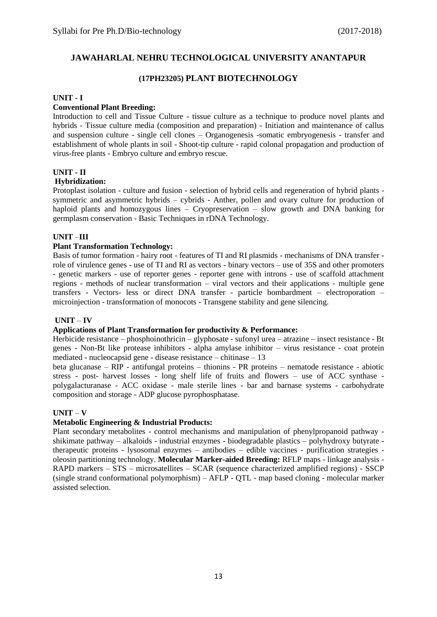### **(17PH23205) PLANT BIOTECHNOLOGY**

#### **UNIT - I**

#### **Conventional Plant Breeding:**

Introduction to cell and Tissue Culture - tissue culture as a technique to produce novel plants and hybrids - Tissue culture media (composition and preparation) - Initiation and maintenance of callus and suspension culture - single cell clones – Organogenesis -somatic embryogenesis - transfer and establishment of whole plants in soil - Shoot-tip culture - rapid colonal propagation and production of virus-free plants - Embryo culture and embryo rescue.

#### **UNIT - II**

#### **Hybridization:**

Protoplast isolation - culture and fusion - selection of hybrid cells and regeneration of hybrid plants symmetric and asymmetric hybrids – cybrids - Anther, pollen and ovary culture for production of haploid plants and homozygous lines – Cryopreservation – slow growth and DNA banking for germplasm conservation - Basic Techniques in rDNA Technology.

#### **UNIT** –**III**

#### **Plant Transformation Technology:**

Basis of tumor formation - hairy root - features of TI and RI plasmids - mechanisms of DNA transfer role of virulence genes - use of TI and RI as vectors - binary vectors – use of 35S and other promoters - genetic markers - use of reporter genes - reporter gene with introns - use of scaffold attachment regions - methods of nuclear transformation – viral vectors and their applications - multiple gene transfers - Vectors- less or direct DNA transfer - particle bombardment – electroporation – microinjection - transformation of monocots - Transgene stability and gene silencing.

#### **UNIT** – **IV**

#### **Applications of Plant Transformation for productivity & Performance:**

Herbicide resistance – phosphoinothricin – glyphosate - sufonyl urea – atrazine – insect resistance - Bt genes - Non-Bt like protease inhibitors - alpha amylase inhibitor – virus resistance - coat protein mediated - nucleocapsid gene - disease resistance – chitinase – 13

beta glucanase – RIP - antifungal proteins – thionins - PR proteins – nematode resistance - abiotic stress - post- harvest losses - long shelf life of fruits and flowers – use of ACC synthase polygalacturanase - ACC oxidase - male sterile lines - bar and barnase systems - carbohydrate composition and storage - ADP glucose pyrophosphatase.

#### **UNIT** – **V**

### **Metabolic Engineering & Industrial Products:**

Plant secondary metabolites - control mechanisms and manipulation of phenylpropanoid pathway shikimate pathway – alkaloids - industrial enzymes - biodegradable plastics – polyhydroxy butyrate therapeutic proteins - lysosomal enzymes – antibodies – edible vaccines - purification strategies oleosin partitioning technology. **Molecular Marker-aided Breeding:** RFLP maps - linkage analysis - RAPD markers – STS – microsatellites – SCAR (sequence characterized amplified regions) - SSCP (single strand conformational polymorphism) – AFLP - QTL - map based cloning - molecular marker assisted selection.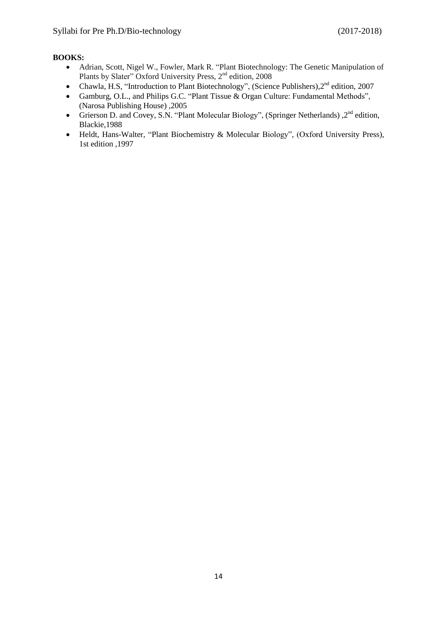- Adrian, Scott, Nigel W., Fowler, Mark R. "Plant Biotechnology: The Genetic Manipulation of Plants by Slater" Oxford University Press, 2<sup>nd</sup> edition, 2008
- Chawla, H.S, "Introduction to Plant Biotechnology", (Science Publishers),  $2<sup>nd</sup>$  edition, 2007
- Gamburg, O.L., and Philips G.C. "Plant Tissue & Organ Culture: Fundamental Methods", (Narosa Publishing House) ,2005
- Grierson D. and Covey, S.N. "Plant Molecular Biology", (Springer Netherlands) , 2<sup>nd</sup> edition, Blackie,1988
- Heldt, Hans-Walter, "Plant Biochemistry & Molecular Biology", (Oxford University Press), 1st edition ,1997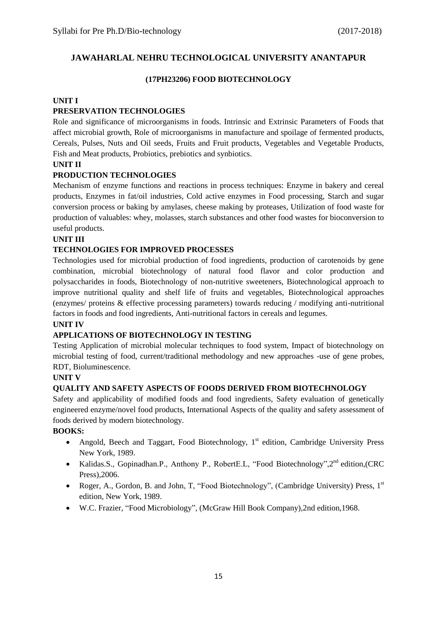### **(17PH23206) FOOD BIOTECHNOLOGY**

### **UNIT I**

## **PRESERVATION TECHNOLOGIES**

Role and significance of microorganisms in foods. Intrinsic and Extrinsic Parameters of Foods that affect microbial growth, Role of microorganisms in manufacture and spoilage of fermented products, Cereals, Pulses, Nuts and Oil seeds, Fruits and Fruit products, Vegetables and Vegetable Products, Fish and Meat products, Probiotics, prebiotics and synbiotics.

### **UNIT II**

## **PRODUCTION TECHNOLOGIES**

Mechanism of enzyme functions and reactions in process techniques: Enzyme in bakery and cereal products, Enzymes in fat/oil industries, Cold active enzymes in Food processing, Starch and sugar conversion process or baking by amylases, cheese making by proteases, Utilization of food waste for production of valuables: whey, molasses, starch substances and other food wastes for bioconversion to useful products.

### **UNIT III**

### **TECHNOLOGIES FOR IMPROVED PROCESSES**

Technologies used for microbial production of food ingredients, production of carotenoids by gene combination, microbial biotechnology of natural food flavor and color production and polysaccharides in foods, Biotechnology of non-nutritive sweeteners, Biotechnological approach to improve nutritional quality and shelf life of fruits and vegetables, Biotechnological approaches (enzymes/ proteins & effective processing parameters) towards reducing / modifying anti-nutritional factors in foods and food ingredients, Anti-nutritional factors in cereals and legumes.

#### **UNIT IV**

### **APPLICATIONS OF BIOTECHNOLOGY IN TESTING**

Testing Application of microbial molecular techniques to food system, Impact of biotechnology on microbial testing of food, current/traditional methodology and new approaches -use of gene probes, RDT, Bioluminescence.

#### **UNIT V**

### **QUALITY AND SAFETY ASPECTS OF FOODS DERIVED FROM BIOTECHNOLOGY**

Safety and applicability of modified foods and food ingredients, Safety evaluation of genetically engineered enzyme/novel food products, International Aspects of the quality and safety assessment of foods derived by modern biotechnology.

- Angold, Beech and Taggart, Food Biotechnology,  $1<sup>st</sup>$  edition, Cambridge University Press New York, 1989.
- Kalidas.S., Gopinadhan.P., Anthony P., RobertE.L, "Food Biotechnology", 2<sup>nd</sup> edition, (CRC Press),2006.
- Roger, A., Gordon, B. and John, T. "Food Biotechnology", (Cambridge University) Press, 1<sup>st</sup> edition, New York, 1989.
- W.C. Frazier, "Food Microbiology", (McGraw Hill Book Company),2nd edition,1968.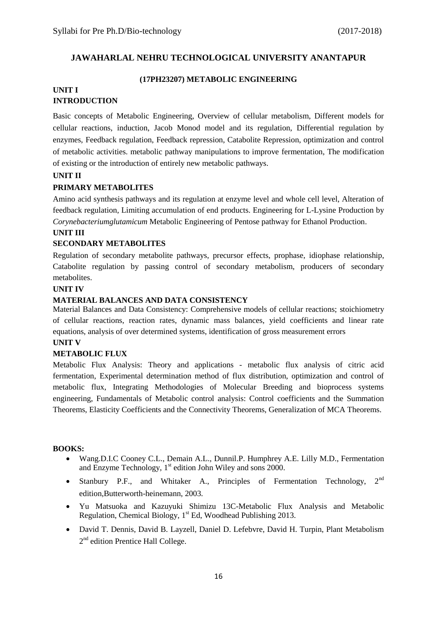#### **(17PH23207) METABOLIC ENGINEERING**

### **UNIT I INTRODUCTION**

Basic concepts of Metabolic Engineering, Overview of cellular metabolism, Different models for cellular reactions, induction, Jacob Monod model and its regulation, Differential regulation by enzymes, Feedback regulation, Feedback repression, Catabolite Repression, optimization and control of metabolic activities. metabolic pathway manipulations to improve fermentation, The modification of existing or the introduction of entirely new metabolic pathways.

### **UNIT II**

### **PRIMARY METABOLITES**

Amino acid synthesis pathways and its regulation at enzyme level and whole cell level, Alteration of feedback regulation, Limiting accumulation of end products. Engineering for L-Lysine Production by *Corynebacteriumglutamicum* Metabolic Engineering of Pentose pathway for Ethanol Production.

### **UNIT III**

### **SECONDARY METABOLITES**

Regulation of secondary metabolite pathways, precursor effects, prophase, idiophase relationship, Catabolite regulation by passing control of secondary metabolism, producers of secondary metabolites.

#### **UNIT IV**

### **MATERIAL BALANCES AND DATA CONSISTENCY**

Material Balances and Data Consistency: Comprehensive models of cellular reactions; stoichiometry of cellular reactions, reaction rates, dynamic mass balances, yield coefficients and linear rate equations, analysis of over determined systems, identification of gross measurement errors

#### **UNIT V**

### **METABOLIC FLUX**

Metabolic Flux Analysis: Theory and applications - metabolic flux analysis of citric acid fermentation, Experimental determination method of flux distribution, optimization and control of metabolic flux, Integrating Methodologies of Molecular Breeding and bioprocess systems engineering, Fundamentals of Metabolic control analysis: Control coefficients and the Summation Theorems, Elasticity Coefficients and the Connectivity Theorems, Generalization of MCA Theorems.

- Wang.D.I.C Cooney C.L., Demain A.L., Dunnil.P. Humphrey A.E. Lilly M.D., Fermentation and Enzyme Technology,  $1<sup>st</sup>$  edition John Wiley and sons 2000.
- Stanbury P.F., and Whitaker A., Principles of Fermentation Technology,  $2^{nd}$ edition,Butterworth-heinemann, 2003.
- Yu Matsuoka and Kazuyuki Shimizu 13C-Metabolic Flux Analysis and Metabolic Regulation, Chemical Biology,  $1<sup>st</sup>$  Ed, Woodhead Publishing 2013.
- David T. Dennis, David B. Layzell, Daniel D. Lefebvre, David H. Turpin, Plant Metabolism 2<sup>nd</sup> edition Prentice Hall College.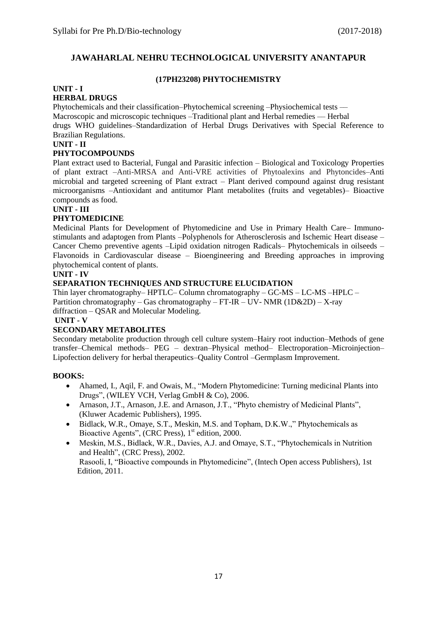#### **(17PH23208) PHYTOCHEMISTRY**

#### **UNIT - I HERBAL DRUGS**

Phytochemicals and their classification–Phytochemical screening –Physiochemical tests –– Macroscopic and microscopic techniques –Traditional plant and Herbal remedies — Herbal drugs WHO guidelines–Standardization of Herbal Drugs Derivatives with Special Reference to Brazilian Regulations.

#### **UNIT - II**

#### **PHYTOCOMPOUNDS**

Plant extract used to Bacterial, Fungal and Parasitic infection – Biological and Toxicology Properties of plant extract –Anti-MRSA and Anti-VRE activities of Phytoalexins and Phytoncides–Anti microbial and targeted screening of Plant extract – Plant derived compound against drug resistant microorganisms –Antioxidant and antitumor Plant metabolites (fruits and vegetables)– Bioactive compounds as food.

### **UNIT - III**

#### **PHYTOMEDICINE**

Medicinal Plants for Development of Phytomedicine and Use in Primary Health Care– Immunostimulants and adaptogen from Plants –Polyphenols for Atherosclerosis and Ischemic Heart disease – Cancer Chemo preventive agents –Lipid oxidation nitrogen Radicals– Phytochemicals in oilseeds – Flavonoids in Cardiovascular disease – Bioengineering and Breeding approaches in improving phytochemical content of plants.

#### **UNIT - IV**

### **SEPARATION TECHNIQUES AND STRUCTURE ELUCIDATION**

Thin layer chromatography– HPTLC– Column chromatography – GC-MS – LC-MS –HPLC – Partition chromatography – Gas chromatography –  $FT-IR - UV- NMR (1D&2D) - X-ray$ diffraction – QSAR and Molecular Modeling.

## **UNIT - V**

#### **SECONDARY METABOLITES**

Secondary metabolite production through cell culture system–Hairy root induction–Methods of gene transfer–Chemical methods– PEG – dextran–Physical method– Electroporation–Microinjection– Lipofection delivery for herbal therapeutics–Quality Control –Germplasm Improvement.

- Ahamed, I., Aqil, F. and Owais, M., "Modern Phytomedicine: Turning medicinal Plants into Drugs", (WILEY VCH, Verlag GmbH & Co), 2006.
- Arnason, J.T., Arnason, J.E. and Arnason, J.T., "Phyto chemistry of Medicinal Plants", (Kluwer Academic Publishers), 1995.
- Bidlack, W.R., Omaye, S.T., Meskin, M.S. and Topham, D.K.W.," Phytochemicals as Bioactive Agents", (CRC Press), 1<sup>st</sup> edition, 2000.
- Meskin, M.S., Bidlack, W.R., Davies, A.J. and Omaye, S.T., "Phytochemicals in Nutrition and Health", (CRC Press), 2002. Rasooli, I, "Bioactive compounds in Phytomedicine", (Intech Open access Publishers), 1st Edition, 2011.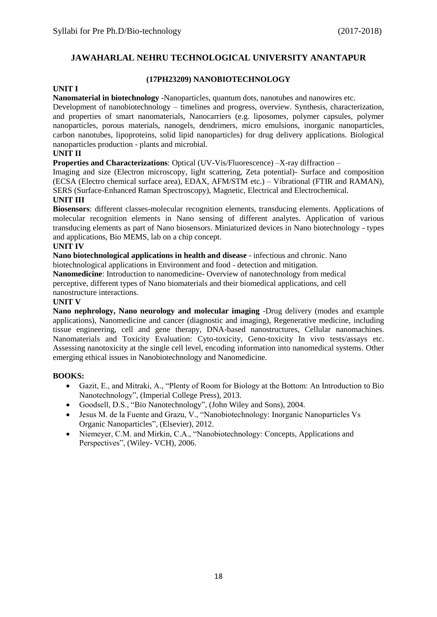#### **UNIT I**

### **(17PH23209) NANOBIOTECHNOLOGY**

#### **Nanomaterial in biotechnology** -Nanoparticles, quantum dots, nanotubes and nanowires etc.

Development of nanobiotechnology – timelines and progress, overview. Synthesis, characterization, and properties of smart nanomaterials, Nanocarriers (e.g. liposomes, polymer capsules, polymer nanoparticles, porous materials, nanogels, dendrimers, micro emulsions, inorganic nanoparticles, carbon nanotubes, lipoproteins, solid lipid nanoparticles) for drug delivery applications. Biological nanoparticles production - plants and microbial.

#### **UNIT II**

**Properties and Characterizations**: Optical (UV-Vis/Fluorescence) –X-ray diffraction –

Imaging and size (Electron microscopy, light scattering, Zeta potential)- Surface and composition (ECSA (Electro chemical surface area), EDAX, AFM/STM etc.) – Vibrational (FTIR and RAMAN), SERS (Surface-Enhanced Raman Spectroscopy), Magnetic, Electrical and Electrochemical.

#### **UNIT III**

**Biosensors**: different classes-molecular recognition elements, transducing elements. Applications of molecular recognition elements in Nano sensing of different analytes. Application of various transducing elements as part of Nano biosensors. Miniaturized devices in Nano biotechnology - types and applications, Bio MEMS, lab on a chip concept.

#### **UNIT IV**

**Nano biotechnological applications in health and disease** - infectious and chronic. Nano biotechnological applications in Environment and food - detection and mitigation.

**Nanomedicine**: Introduction to nanomedicine- Overview of nanotechnology from medical perceptive, different types of Nano biomaterials and their biomedical applications, and cell nanostructure interactions.

#### **UNIT V**

**Nano nephrology, Nano neurology and molecular imaging** -Drug delivery (modes and example applications), Nanomedicine and cancer (diagnostic and imaging), Regenerative medicine, including tissue engineering, cell and gene therapy, DNA-based nanostructures, Cellular nanomachines. Nanomaterials and Toxicity Evaluation: Cyto-toxicity, Geno-toxicity In vivo tests/assays etc. Assessing nanotoxicity at the single cell level, encoding information into nanomedical systems. Other emerging ethical issues in Nanobiotechnology and Nanomedicine.

- Gazit, E., and Mitraki, A., "Plenty of Room for Biology at the Bottom: An Introduction to Bio Nanotechnology", (Imperial College Press), 2013.
- Goodsell, D.S., "Bio Nanotechnology", (John Wiley and Sons), 2004.
- Jesus M. de la Fuente and Grazu, V., "Nanobiotechnology: Inorganic Nanoparticles Vs Organic Nanoparticles", (Elsevier), 2012.
- Niemeyer, C.M. and Mirkin, C.A., "Nanobiotechnology: Concepts, Applications and Perspectives", (Wiley- VCH), 2006.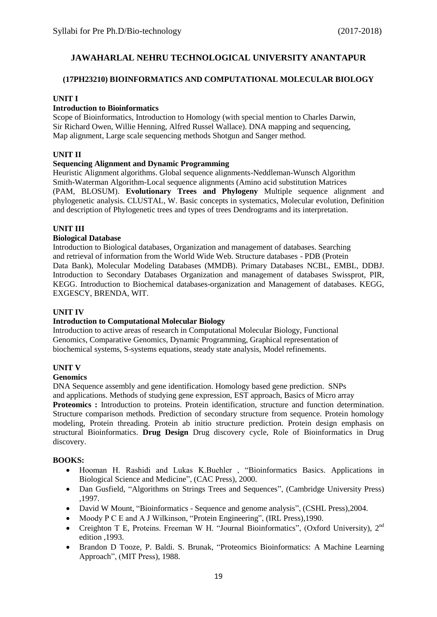#### **(17PH23210) BIOINFORMATICS AND COMPUTATIONAL MOLECULAR BIOLOGY**

#### **UNIT I**

### **Introduction to Bioinformatics**

Scope of Bioinformatics, Introduction to Homology (with special mention to Charles Darwin, Sir Richard Owen, Willie Henning, Alfred Russel Wallace). DNA mapping and sequencing, Map alignment, Large scale sequencing methods Shotgun and Sanger method.

#### **UNIT II**

#### **Sequencing Alignment and Dynamic Programming**

Heuristic Alignment algorithms. Global sequence alignments-Neddleman-Wunsch Algorithm Smith-Waterman Algorithm-Local sequence alignments (Amino acid substitution Matrices (PAM, BLOSUM). **Evolutionary Trees and Phylogeny** Multiple sequence alignment and phylogenetic analysis. CLUSTAL, W. Basic concepts in systematics, Molecular evolution, Definition and description of Phylogenetic trees and types of trees Dendrograms and its interpretation.

#### **UNIT III**

#### **Biological Database**

Introduction to Biological databases, Organization and management of databases. Searching and retrieval of information from the World Wide Web. Structure databases - PDB (Protein Data Bank), Molecular Modeling Databases (MMDB). Primary Databases NCBL, EMBL, DDBJ. Introduction to Secondary Databases Organization and management of databases Swissprot, PIR, KEGG. Introduction to Biochemical databases-organization and Management of databases. KEGG, EXGESCY, BRENDA, WIT.

#### **UNIT IV**

#### **Introduction to Computational Molecular Biology**

Introduction to active areas of research in Computational Molecular Biology, Functional Genomics, Comparative Genomics, Dynamic Programming, Graphical representation of biochemical systems, S-systems equations, steady state analysis, Model refinements.

### **UNIT V**

#### **Genomics**

DNA Sequence assembly and gene identification. Homology based gene prediction. SNPs and applications. Methods of studying gene expression, EST approach, Basics of Micro array **Proteomics :** Introduction to proteins. Protein identification, structure and function determination. Structure comparison methods. Prediction of secondary structure from sequence. Protein homology modeling, Protein threading. Protein ab initio structure prediction. Protein design emphasis on structural Bioinformatics. **Drug Design** Drug discovery cycle, Role of Bioinformatics in Drug discovery.

- Hooman H. Rashidi and Lukas K.Buehler , "Bioinformatics Basics. Applications in Biological Science and Medicine", (CAC Press), 2000.
- Dan Gusfield, "Algorithms on Strings Trees and Sequences", (Cambridge University Press) ,1997.
- David W Mount, "Bioinformatics Sequence and genome analysis", (CSHL Press), 2004.
- Moody P C E and A J Wilkinson, "Protein Engineering", (IRL Press),1990.
- Creighton T E, Proteins. Freeman W H. "Journal Bioinformatics", (Oxford University),  $2^{nd}$ edition ,1993.
- Brandon D Tooze, P. Baldi. S. Brunak, "Proteomics Bioinformatics: A Machine Learning Approach", (MIT Press), 1988.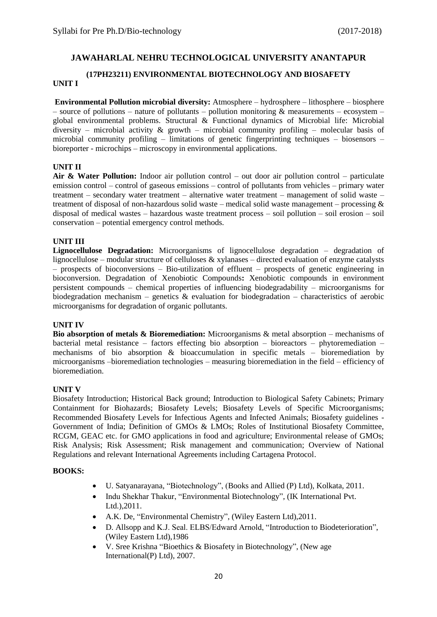## **(17PH23211) ENVIRONMENTAL BIOTECHNOLOGY AND BIOSAFETY**

### **UNIT I**

**Environmental Pollution microbial diversity:** Atmosphere – hydrosphere – lithosphere – biosphere – source of pollutions – nature of pollutants – pollution monitoring & measurements – ecosystem – global environmental problems. Structural & Functional dynamics of Microbial life: Microbial diversity – microbial activity  $\&$  growth – microbial community profiling – molecular basis of microbial community profiling – limitations of genetic fingerprinting techniques – biosensors – bioreporter - microchips – microscopy in environmental applications.

#### **UNIT II**

**Air & Water Pollution:** Indoor air pollution control – out door air pollution control – particulate emission control – control of gaseous emissions – control of pollutants from vehicles – primary water treatment – secondary water treatment – alternative water treatment – management of solid waste – treatment of disposal of non-hazardous solid waste – medical solid waste management – processing  $\&$ disposal of medical wastes – hazardous waste treatment process – soil pollution – soil erosion – soil conservation – potential emergency control methods.

#### **UNIT III**

**Lignocellulose Degradation:** Microorganisms of lignocellulose degradation – degradation of lignocellulose – modular structure of celluloses & xylanases – directed evaluation of enzyme catalysts – prospects of bioconversions – Bio-utilization of effluent – prospects of genetic engineering in bioconversion. Degradation of Xenobiotic Compounds**:** Xenobiotic compounds in environment persistent compounds – chemical properties of influencing biodegradability – microorganisms for biodegradation mechanism – genetics  $\&$  evaluation for biodegradation – characteristics of aerobic microorganisms for degradation of organic pollutants.

#### **UNIT IV**

**Bio absorption of metals & Bioremediation:** Microorganisms & metal absorption – mechanisms of bacterial metal resistance – factors effecting bio absorption – bioreactors – phytoremediation – mechanisms of bio absorption & bioaccumulation in specific metals – bioremediation by microorganisms –bioremediation technologies – measuring bioremediation in the field – efficiency of bioremediation.

#### **UNIT V**

Biosafety Introduction; Historical Back ground; Introduction to Biological Safety Cabinets; Primary Containment for Biohazards; Biosafety Levels; Biosafety Levels of Specific Microorganisms; Recommended Biosafety Levels for Infectious Agents and Infected Animals; Biosafety guidelines - Government of India; Definition of GMOs & LMOs; Roles of Institutional Biosafety Committee, RCGM, GEAC etc. for GMO applications in food and agriculture; Environmental release of GMOs; Risk Analysis; Risk Assessment; Risk management and communication; Overview of National Regulations and relevant International Agreements including Cartagena Protocol.

- U. Satyanarayana, "Biotechnology", (Books and Allied (P) Ltd), Kolkata, 2011.
- Indu Shekhar Thakur, "Environmental Biotechnology"*,* (IK International Pvt. Ltd.),2011.
- A.K. De, "Environmental Chemistry", (Wiley Eastern Ltd),2011.
- D. Allsopp and K.J. Seal. ELBS/Edward Arnold, "Introduction to Biodeterioration", (Wiley Eastern Ltd),1986
- V. Sree Krishna "Bioethics & Biosafety in Biotechnology", (New age International(P) Ltd), 2007.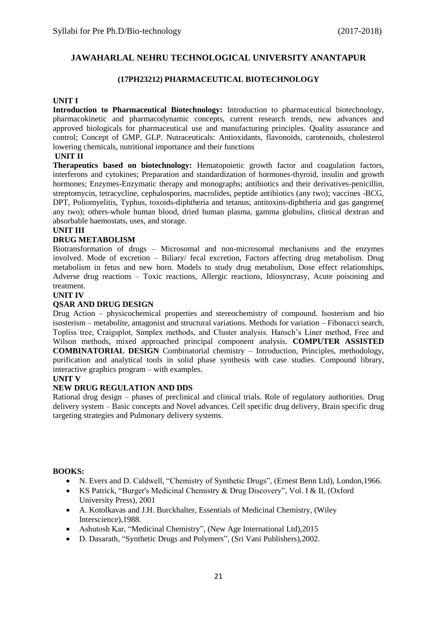#### **(17PH23212) PHARMACEUTICAL BIOTECHNOLOGY**

#### **UNIT I**

**Introduction to Pharmaceutical Biotechnology:** Introduction to pharmaceutical biotechnology, pharmacokinetic and pharmacodynamic concepts, current research trends, new advances and approved biologicals for pharmaceutical use and manufacturing principles. Quality assurance and control; Concept of GMP, GLP. Nutraceuticals: Antioxidants, flavonoids, carotenoids, cholesterol lowering chemicals, nutritional importance and their functions

### **UNIT II**

**Therapeutics based on biotechnology:** Hematopoietic growth factor and coagulation factors, interferons and cytokines; Preparation and standardization of hormones-thyroid, insulin and growth hormones; Enzymes-Enzymatic therapy and monographs; antibiotics and their derivatives-penicillin, streptomycin, tetracycline, cephalosporins, macrolides, peptide antibiotics (any two); vaccines -BCG, DPT, Poliomyelitis, Typhus, toxoids-diphtheria and tetanus; antitoxins-diphtheria and gas gangrene( any two); others-whole human blood, dried human plasma, gamma globulins, clinical dextran and absorbable haemostats, uses, and storage.

#### **UNIT III**

#### **DRUG METABOLISM**

Biotransformation of drugs – Microsomal and non-microsomal mechanisms and the enzymes involved. Mode of excretion – Biliary/ fecal excretion, Factors affecting drug metabolism. Drug metabolism in fetus and new born. Models to study drug metabolism, Dose effect relationships, Adverse drug reactions – Toxic reactions, Allergic reactions, Idiosyncrasy, Acute poisoning and treatment.

#### **UNIT IV**

#### **QSAR AND DRUG DESIGN**

Drug Action – physicochemical properties and stereochemistry of compound. Isosterism and bio isosterism – metabolite, antagonist and structural variations. Methods for variation – Fibonacci search, Topliss tree, Craigsplot, Simplex methods, and Cluster analysis. Hansch's Liner method, Free and Wilson methods, mixed approached principal component analysis. **COMPUTER ASSISTED COMBINATORIAL DESIGN** Combinatorial chemistry – Introduction, Principles, methodology, purification and analytical tools in solid phase synthesis with case studies. Compound library, interactive graphics program – with examples.

#### **UNIT V**

#### **NEW DRUG REGULATION AND DDS**

Rational drug design – phases of preclinical and clinical trials. Role of regulatory authorities. Drug delivery system – Basic concepts and Novel advances. Cell specific drug delivery, Brain specific drug targeting strategies and Pulmonary delivery systems.

- N. Evers and D. Caldwell, "Chemistry of Synthetic Drugs", (Ernest Benn Ltd), London,1966.
- KS Patrick, "Burger's Medicinal Chemistry & Drug Discovery", Vol. I & II, (Oxford University Press), 2001
- A. Kotolkavas and J.H. Burckhalter, Essentials of Medicinal Chemistry, (Wiley Interscience),1988.
- Ashutosh Kar, "Medicinal Chemistry", (New Age International Ltd),2015
- D. Dasarath, "Synthetic Drugs and Polymers", (Sri Vani Publishers),2002.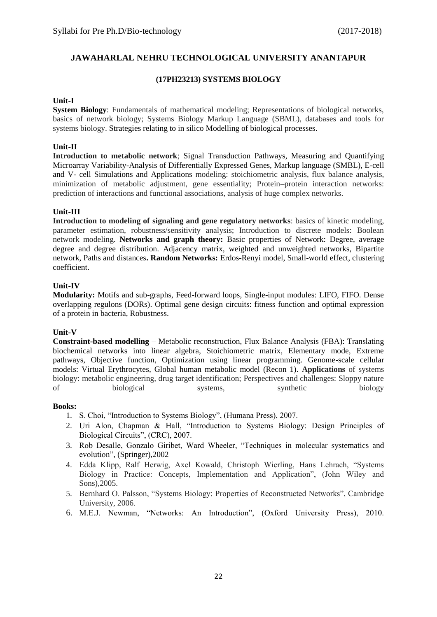#### **(17PH23213) SYSTEMS BIOLOGY**

#### **Unit-I**

**System Biology**: Fundamentals of mathematical modeling; Representations of biological networks, basics of network biology; Systems Biology Markup Language (SBML), databases and tools for systems biology. Strategies relating to in silico Modelling of biological processes.

#### **Unit-II**

**Introduction to metabolic network**; Signal Transduction Pathways, Measuring and Quantifying Microarray Variability-Analysis of Differentially Expressed Genes, Markup language (SMBL), E-cell and V- cell Simulations and Applications modeling: stoichiometric analysis, flux balance analysis, minimization of metabolic adjustment, gene essentiality; Protein–protein interaction networks: prediction of interactions and functional associations, analysis of huge complex networks.

#### **Unit-III**

**Introduction to modeling of signaling and gene regulatory networks**: basics of kinetic modeling, parameter estimation, robustness/sensitivity analysis; Introduction to discrete models: Boolean network modeling. **Networks and graph theory:** Basic properties of Network: Degree, average degree and degree distribution. Adjacency matrix, weighted and unweighted networks, Bipartite network, Paths and distances**. Random Networks:** Erdos-Renyi model, Small-world effect, clustering coefficient.

#### **Unit-IV**

**Modularity:** Motifs and sub-graphs, Feed-forward loops, Single-input modules: LIFO, FIFO. Dense overlapping regulons (DORs). Optimal gene design circuits: fitness function and optimal expression of a protein in bacteria, Robustness.

#### **Unit-V**

**Constraint-based modelling** – Metabolic reconstruction, Flux Balance Analysis (FBA): Translating biochemical networks into linear algebra, Stoichiometric matrix, Elementary mode, Extreme pathways, Objective function, Optimization using linear programming. Genome-scale cellular models: Virtual Erythrocytes, Global human metabolic model (Recon 1). **Applications** of systems biology: metabolic engineering, drug target identification; Perspectives and challenges: Sloppy nature of biological systems, synthetic biology

#### **Books:**

- 1. S. Choi, "Introduction to Systems Biology", (Humana Press), 2007.
- 2. Uri Alon, Chapman & Hall, "Introduction to Systems Biology: Design Principles of Biological Circuits", (CRC), 2007.
- 3. Rob Desalle, Gonzalo Giribet, Ward Wheeler, "Techniques in molecular systematics and evolution", (Springer),2002
- 4. Edda Klipp, Ralf Herwig, Axel Kowald, Christoph Wierling, Hans Lehrach, "Systems Biology in Practice: Concepts, Implementation and Application", (John Wiley and Sons),2005.
- 5. Bernhard O. Palsson, "Systems Biology: Properties of Reconstructed Networks", Cambridge University, 2006.
- 6. M.E.J. Newman, "Networks: An Introduction", (Oxford University Press), 2010.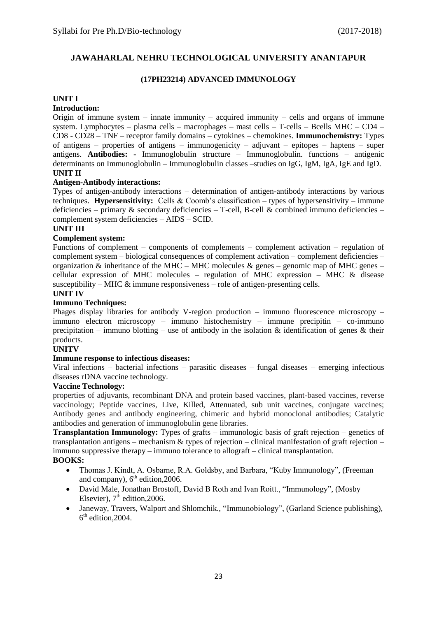### **(17PH23214) ADVANCED IMMUNOLOGY**

#### **UNIT I**

### **Introduction:**

Origin of immune system – innate immunity – acquired immunity – cells and organs of immune system. Lymphocytes – plasma cells – macrophages – mast cells – T-cells – Bcells MHC – CD4 – CD8 - CD28 – TNF – receptor family domains – cytokines – chemokines. **Immunochemistry:** Types of antigens – properties of antigens – immunogenicity – adjuvant – epitopes – haptens – super antigens. **Antibodies: -** Immunoglobulin structure – Immunoglobulin. functions – antigenic determinants on Immunoglobulin – Immunoglobulin classes –studies on IgG, IgM, IgA, IgE and IgD. **UNIT II**

#### **Antigen-Antibody interactions:**

Types of antigen-antibody interactions – determination of antigen-antibody interactions by various techniques. **Hypersensitivity:** Cells & Coomb's classification – types of hypersensitivity – immune deficiencies – primary & secondary deficiencies – T-cell, B-cell & combined immuno deficiencies – complement system deficiencies – AIDS – SCID.

#### **UNIT III**

#### **Complement system:**

Functions of complement – components of complements – complement activation – regulation of complement system – biological consequences of complement activation – complement deficiencies – organization & inheritance of the MHC – MHC molecules & genes – genomic map of MHC genes – cellular expression of MHC molecules – regulation of MHC expression – MHC & disease susceptibility – MHC  $\&$  immune responsiveness – role of antigen-presenting cells.

#### **UNIT IV**

### **Immuno Techniques:**

Phages display libraries for antibody V-region production – immuno fluorescence microscopy – immuno electron microscopy – immuno histochemistry – immune precipitin – co-immuno precipitation – immuno blotting – use of antibody in the isolation  $\&$  identification of genes  $\&$  their products.

#### **UNITV**

#### **Immune response to infectious diseases:**

Viral infections – bacterial infections – parasitic diseases – fungal diseases – emerging infectious diseases rDNA vaccine technology.

#### **Vaccine Technology:**

properties of adjuvants, recombinant DNA and protein based vaccines, plant-based vaccines, reverse vaccinology; Peptide vaccines, Live, Killed, Attenuated, sub unit vaccines, conjugate vaccines; Antibody genes and antibody engineering, chimeric and hybrid monoclonal antibodies; Catalytic antibodies and generation of immunoglobulin gene libraries.

**Transplantation Immunology:** Types of grafts – immunologic basis of graft rejection – genetics of transplantation antigens – mechanism & types of rejection – clinical manifestation of graft rejection – immuno suppressive therapy – immuno tolerance to allograft – clinical transplantation.

- Thomas J. Kindt, A. Osbarne, R.A. Goldsby, and Barbara, "Kuby Immunology", (Freeman and company),  $6<sup>th</sup>$  edition, 2006.
- David Male, Jonathan Brostoff, David B Roth and Ivan Roitt., "Immunology", (Mosby Elsevier),  $7<sup>th</sup>$  edition, 2006.
- Janeway, Travers, Walport and Shlomchik., "Immunobiology", (Garland Science publishing), 6<sup>th</sup> edition, 2004.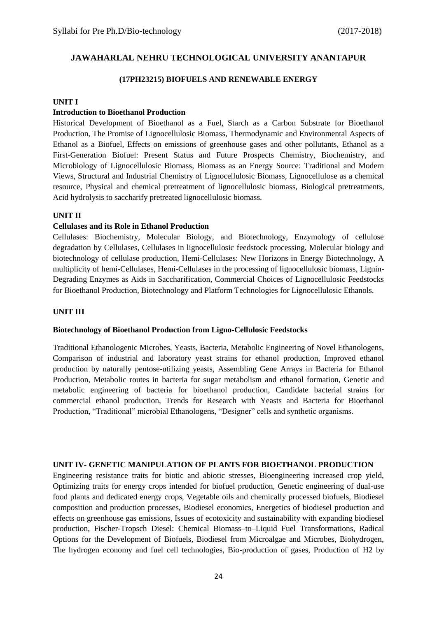#### **(17PH23215) BIOFUELS AND RENEWABLE ENERGY**

#### **UNIT I**

#### **Introduction to Bioethanol Production**

Historical Development of Bioethanol as a Fuel, Starch as a Carbon Substrate for Bioethanol Production, The Promise of Lignocellulosic Biomass, Thermodynamic and Environmental Aspects of Ethanol as a Biofuel, Effects on emissions of greenhouse gases and other pollutants, Ethanol as a First-Generation Biofuel: Present Status and Future Prospects Chemistry, Biochemistry, and Microbiology of Lignocellulosic Biomass, Biomass as an Energy Source: Traditional and Modern Views, Structural and Industrial Chemistry of Lignocellulosic Biomass, Lignocellulose as a chemical resource, Physical and chemical pretreatment of lignocellulosic biomass, Biological pretreatments, Acid hydrolysis to saccharify pretreated lignocellulosic biomass.

#### **UNIT II**

#### **Cellulases and its Role in Ethanol Production**

Cellulases: Biochemistry, Molecular Biology, and Biotechnology, Enzymology of cellulose degradation by Cellulases, Cellulases in lignocellulosic feedstock processing, Molecular biology and biotechnology of cellulase production, Hemi-Cellulases: New Horizons in Energy Biotechnology, A multiplicity of hemi-Cellulases, Hemi-Cellulases in the processing of lignocellulosic biomass, Lignin-Degrading Enzymes as Aids in Saccharification, Commercial Choices of Lignocellulosic Feedstocks for Bioethanol Production, Biotechnology and Platform Technologies for Lignocellulosic Ethanols.

#### **UNIT III**

#### **Biotechnology of Bioethanol Production from Ligno-Cellulosic Feedstocks**

Traditional Ethanologenic Microbes, Yeasts, Bacteria, Metabolic Engineering of Novel Ethanologens, Comparison of industrial and laboratory yeast strains for ethanol production, Improved ethanol production by naturally pentose-utilizing yeasts, Assembling Gene Arrays in Bacteria for Ethanol Production, Metabolic routes in bacteria for sugar metabolism and ethanol formation, Genetic and metabolic engineering of bacteria for bioethanol production, Candidate bacterial strains for commercial ethanol production, Trends for Research with Yeasts and Bacteria for Bioethanol Production, "Traditional" microbial Ethanologens, "Designer" cells and synthetic organisms.

#### **UNIT IV- GENETIC MANIPULATION OF PLANTS FOR BIOETHANOL PRODUCTION**

Engineering resistance traits for biotic and abiotic stresses, Bioengineering increased crop yield, Optimizing traits for energy crops intended for biofuel production, Genetic engineering of dual-use food plants and dedicated energy crops, Vegetable oils and chemically processed biofuels, Biodiesel composition and production processes, Biodiesel economics, Energetics of biodiesel production and effects on greenhouse gas emissions, Issues of ecotoxicity and sustainability with expanding biodiesel production, Fischer-Tropsch Diesel: Chemical Biomass–to–Liquid Fuel Transformations, Radical Options for the Development of Biofuels, Biodiesel from Microalgae and Microbes, Biohydrogen, The hydrogen economy and fuel cell technologies, Bio-production of gases, Production of H2 by